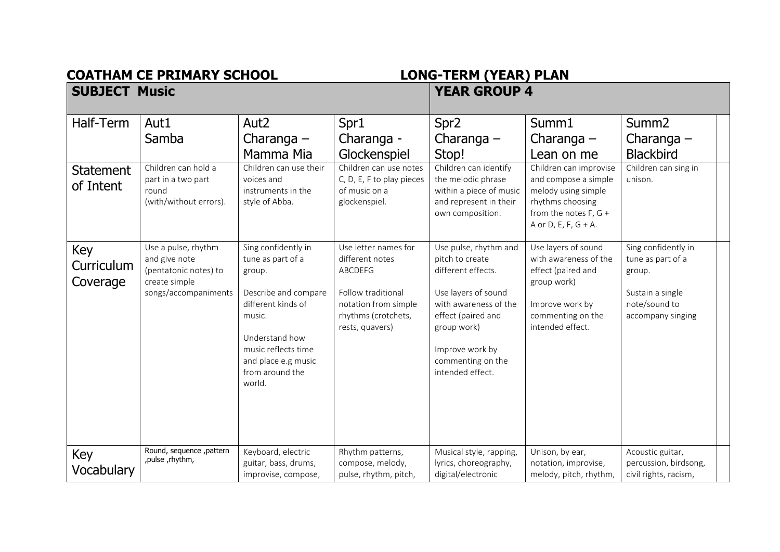**COATHAM CE PRIMARY SCHOOL**<br>SUBJECT Music

## **SUBJECT AND SUBJECT EVALUATE EXAMPLE ASSESS**<br>**SUBJECT AT A VEAR GROUP 4**

| Half-Term<br><b>Statement</b><br>of Intent | Aut1<br>Samba<br>Children can hold a<br>part in a two part<br>round<br>(with/without errors).          | Aut <sub>2</sub><br>Charanga $-$<br>Mamma Mia<br>Children can use their<br>voices and<br>instruments in the<br>style of Abba.                                                                           | Spr1<br>Charanga -<br>Glockenspiel<br>Children can use notes<br>C, D, E, F to play pieces<br>of music on a<br>glockenspiel.                       | Spr <sub>2</sub><br>Charanga $-$<br>Stop!<br>Children can identify<br>the melodic phrase<br>within a piece of music<br>and represent in their<br>own composition.                                               | Summ1<br>Charanga $-$<br>Lean on me<br>Children can improvise<br>and compose a simple<br>melody using simple<br>rhythms choosing<br>from the notes $F, G +$<br>A or D, E, F, $G + A$ . | Summ <sub>2</sub><br>Charanga $-$<br><b>Blackbird</b><br>Children can sing in<br>unison.                     |  |
|--------------------------------------------|--------------------------------------------------------------------------------------------------------|---------------------------------------------------------------------------------------------------------------------------------------------------------------------------------------------------------|---------------------------------------------------------------------------------------------------------------------------------------------------|-----------------------------------------------------------------------------------------------------------------------------------------------------------------------------------------------------------------|----------------------------------------------------------------------------------------------------------------------------------------------------------------------------------------|--------------------------------------------------------------------------------------------------------------|--|
| Key<br>Curriculum<br>Coverage              | Use a pulse, rhythm<br>and give note<br>(pentatonic notes) to<br>create simple<br>songs/accompaniments | Sing confidently in<br>tune as part of a<br>group.<br>Describe and compare<br>different kinds of<br>music.<br>Understand how<br>music reflects time<br>and place e.g music<br>from around the<br>world. | Use letter names for<br>different notes<br><b>ABCDEFG</b><br>Follow traditional<br>notation from simple<br>rhythms (crotchets,<br>rests, quavers) | Use pulse, rhythm and<br>pitch to create<br>different effects.<br>Use layers of sound<br>with awareness of the<br>effect (paired and<br>group work)<br>Improve work by<br>commenting on the<br>intended effect. | Use layers of sound<br>with awareness of the<br>effect (paired and<br>group work)<br>Improve work by<br>commenting on the<br>intended effect.                                          | Sing confidently in<br>tune as part of a<br>group.<br>Sustain a single<br>note/sound to<br>accompany singing |  |
| Key<br>Vocabulary                          | Round, sequence , pattern<br>,pulse, rhythm,                                                           | Keyboard, electric<br>guitar, bass, drums,<br>improvise, compose,                                                                                                                                       | Rhythm patterns,<br>compose, melody,<br>pulse, rhythm, pitch,                                                                                     | Musical style, rapping,<br>lyrics, choreography,<br>digital/electronic                                                                                                                                          | Unison, by ear,<br>notation, improvise,<br>melody, pitch, rhythm,                                                                                                                      | Acoustic guitar,<br>percussion, birdsong,<br>civil rights, racism,                                           |  |